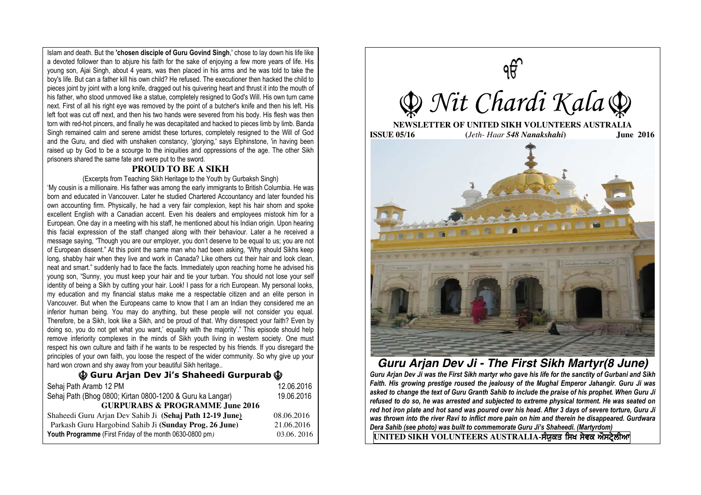Islam and death. But the **'chosen disciple of Guru Govind Singh**,' chose to lay down his life like a devoted follower than to abjure his faith for the sake of enjoying a few more years of life. His young son, Ajai Singh, about 4 years, was then placed in his arms and he was told to take the boy's life. But can a father kill his own child? He refused. The executioner then hacked the child to pieces joint by joint with a long knife, dragged out his quivering heart and thrust it into the mouth of his father, who stood unmoved like a statue, completely resigned to God's Will. His own turn came next. First of all his right eye was removed by the point of a butcher's knife and then his left. His left foot was cut off next, and then his two hands were severed from his body. His flesh was then torn with red-hot pincers, and finally he was decapitated and hacked to pieces limb by limb. Banda Singh remained calm and serene amidst these tortures, completely resigned to the Will of God and the Guru, and died with unshaken constancy, 'glorying,' says Elphinstone, 'in having been raised up by God to be a scourge to the iniquities and oppressions of the age. The other Sikh prisoners shared the same fate and were put to the sword.

### **PROUD TO BE A SIKH**

#### (Excerpts from Teaching Sikh Heritage to the Youth by Gurbaksh Singh)

'My cousin is a millionaire. His father was among the early immigrants to British Columbia. He was born and educated in Vancouver. Later he studied Chartered Accountancy and later founded his own accounting firm. Physically, he had a very fair complexion, kept his hair shorn and spoke excellent English with a Canadian accent. Even his dealers and employees mistook him for a European. One day in a meeting with his staff, he mentioned about his Indian origin. Upon hearing this facial expression of the staff changed along with their behaviour. Later a he received a message saying, "Though you are our employer, you don't deserve to be equal to us; you are not of European dissent." At this point the same man who had been asking, "Why should Sikhs keep long, shabby hair when they live and work in Canada? Like others cut their hair and look clean, neat and smart." suddenly had to face the facts. Immediately upon reaching home he advised his young son, "Sunny, you must keep your hair and tie your turban. You should not lose your self identity of being a Sikh by cutting your hair. Look! I pass for a rich European. My personal looks, my education and my financial status make me a respectable citizen and an elite person in Vancouver. But when the Europeans came to know that I am an Indian they considered me an inferior human being. You may do anything, but these people will not consider you equal. Therefore, be a Sikh, look like a Sikh, and be proud of that. Why disrespect your faith? Even by doing so, you do not get what you want,' equality with the majority'." This episode should help remove inferiority complexes in the minds of Sikh youth living in western society. One must respect his own culture and faith if he wants to be respected by his friends. If you disregard the principles of your own faith, you loose the respect of the wider community. So why give up your hard won crown and shy away from your beautiful Sikh heritage..

# Ç **Guru Arjan Dev Ji's Shaheedi Gurpurab** Ç

| Sehaj Path Aramb 12 PM                                    | 12.06.2016 |
|-----------------------------------------------------------|------------|
| Sehaj Path (Bhog 0800; Kirtan 0800-1200 & Guru ka Langar) | 19.06.2016 |
| <b>GURPURABS &amp; PROGRAMME June 2016</b>                |            |
| Shaheedi Guru Arjan Dev Sahib Ji (Sehaj Path 12-19 June)  | 08.06.2016 |
| Parkash Guru Hargobind Sahib Ji (Sunday Prog. 26 June)    | 21.06.2016 |
| Youth Programme (First Friday of the month 0630-0800 pm)  | 03.06.2016 |
|                                                           |            |



# *Guru Arjan Dev Ji - The First Sikh Martyr(8 June)*

*Guru Arjan Dev Ji was the First Sikh martyr who gave his life for the sanctity of Gurbani and Sikh Faith. His growing prestige roused the jealousy of the Mughal Emperor Jahangir. Guru Ji was asked to change the text of Guru Granth Sahib to include the praise of his prophet. When Guru Ji refused to do so, he was arrested and subjected to extreme physical torment. He was seated on red hot iron plate and hot sand was poured over his head. After 3 days of severe torture, Guru Ji was thrown into the river Ravi to inflict more pain on him and therein he disappeared. Gurdwara Dera Sahib (see photo) was built to commemorate Guru Ji's Shaheedi. (Martyrdom)* 

UNITED SIKH VOLUNTEERS AUSTRALIA-ਸੰਯੁਕਤ ਸਿਖ ਸੇਵਕ ਔਸਟ੍ਰੇਲੀਆ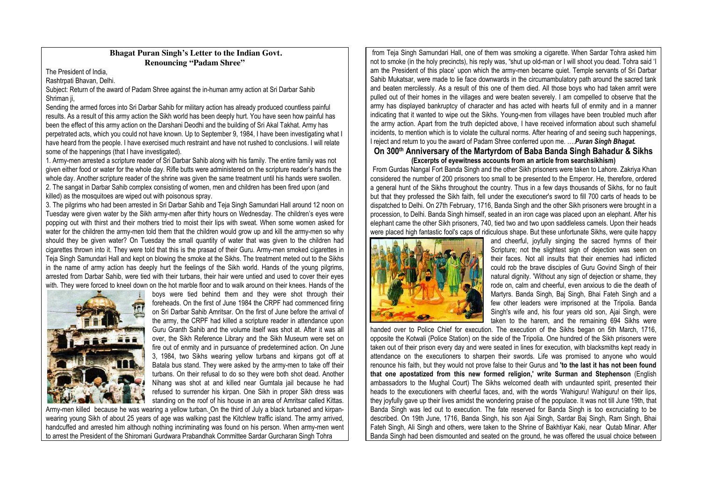## **Bhagat Puran Singh's Letter to the Indian Govt. Renouncing "Padam Shree"**

The President of India,

Rashtrpati Bhavan, Delhi.

Subject: Return of the award of Padam Shree against the in-human army action at Sri Darbar Sahib Shriman ii.

Sending the armed forces into Sri Darbar Sahib for military action has already produced countless painful results. As a result of this army action the Sikh world has been deeply hurt. You have seen how painful has been the effect of this army action on the Darshani Deodhi and the building of Sri Akal Takhat. Army has perpetrated acts, which you could not have known. Up to September 9, 1984, I have been investigating what I have heard from the people. I have exercised much restraint and have not rushed to conclusions. I will relate some of the happenings (that I have investigated).

1. Army-men arrested a scripture reader of Sri Darbar Sahib along with his family. The entire family was not given either food or water for the whole day. Rifle butts were administered on the scripture reader's hands the whole day. Another scripture reader of the shrine was given the same treatment until his hands were swollen. 2. The sangat in Darbar Sahib complex consisting of women, men and children has been fired upon (and killed) as the mosquitoes are wiped out with poisonous spray.

3. The pilgrims who had been arrested in Sri Darbar Sahib and Teja Singh Samundari Hall around 12 noon on Tuesday were given water by the Sikh army-men after thirty hours on Wednesday. The children's eyes were popping out with thirst and their mothers tried to moist their lips with sweat. When some women asked for water for the children the army-men told them that the children would grow up and kill the army-men so why should they be given water? On Tuesday the small quantity of water that was given to the children had cigarettes thrown into it. They were told that this is the prasad of their Guru. Army-men smoked cigarettes in Teja Singh Samundari Hall and kept on blowing the smoke at the Sikhs. The treatment meted out to the Sikhs in the name of army action has deeply hurt the feelings of the Sikh world. Hands of the young pilgrims, arrested from Darbar Sahib, were tied with their turbans, their hair were untied and used to cover their eyes with. They were forced to kneel down on the hot marble floor and to walk around on their knees. Hands of the



boys were tied behind them and they were shot through their foreheads. On the first of June 1984 the CRPF had commenced firing on Sri Darbar Sahib Amritsar. On the first of June before the arrival of the army, the CRPF had killed a scripture reader in attendance upon Guru Granth Sahib and the volume itself was shot at. After it was all over, the Sikh Reference Library and the Sikh Museum were set on fire out of enmity and in pursuance of predetermined action. On June 3, 1984, two Sikhs wearing yellow turbans and kirpans got off at Batala bus stand. They were asked by the army-men to take off their turbans. On their refusal to do so they were both shot dead. Another Nihang was shot at and killed near Gumtala jail because he had refused to surrender his kirpan. One Sikh in proper Sikh dress was standing on the roof of his house in an area of Amritsar called Kittas.

Army-men killed because he was wearing a yellow turban. On the third of July a black turbaned and kirpanwearing young Sikh of about 25 years of age was walking past the Kitchlew traffic island. The army arrived, handcuffed and arrested him although nothing incriminating was found on his person. When army-men went to arrest the President of the Shiromani Gurdwara Prabandhak Committee Sardar Gurcharan Singh Tohra

from Teja Singh Samundari Hall, one of them was smoking a cigarette. When Sardar Tohra asked him not to smoke (in the holy precincts), his reply was, "shut up old-man or I will shoot you dead. Tohra said 'I am the President of this place' upon which the army-men became quiet. Temple servants of Sri Darbar Sahib Mukatsar, were made to lie face downwards in the circumambulatory path around the sacred tank and beaten mercilessly. As a result of this one of them died. All those boys who had taken amrit were pulled out of their homes in the villages and were beaten severely. I am compelled to observe that the army has displayed bankruptcy of character and has acted with hearts full of enmity and in a manner indicating that it wanted to wipe out the Sikhs. Young-men from villages have been troubled much after the army action. Apart from the truth depicted above, I have received information about such shameful incidents, to mention which is to violate the cultural norms. After hearing of and seeing such happenings, I reject and return to you the award of Padam Shree conferred upon me. ….*Puran Singh Bhagat.* 

### **On 300th Anniversary of the Martyrdom of Baba Banda Singh Bahadur & Sikhs (Excerpts of eyewitness accounts from an article from searchsikhism)**

From Gurdas Nangal Fort Banda Singh and the other Sikh prisoners were taken to Lahore. Zakriya Khan considered the number of 200 prisoners too small to be presented to the Emperor. He, therefore, ordered a general hunt of the Sikhs throughout the country. Thus in a few days thousands of Sikhs, for no fault but that they professed the Sikh faith, fell under the executioner's sword to fill 700 carts of heads to be dispatched to Delhi. On 27th February, 1716, Banda Singh and the other Sikh prisoners were brought in a procession, to Delhi. Banda Singh himself, seated in an iron cage was placed upon an elephant. After his elephant came the other Sikh prisoners, 740, tied two and two upon saddleless camels. Upon their heads were placed high fantastic fool's caps of ridiculous shape. But these unfortunate Sikhs, were quite happy



and cheerful, joyfully singing the sacred hymns of their Scripture; not the slightest sign of dejection was seen on their faces. Not all insults that their enemies had inflicted could rob the brave disciples of Guru Govind Singh of their natural dignity. 'Without any sign of dejection or shame, they rode on, calm and cheerful, even anxious to die the death of Martyrs. Banda Singh, Baj Singh, Bhai Fateh Singh and a few other leaders were imprisoned at the Tripolia. Banda Singh's wife and, his four years old son, Ajai Singh, were taken to the harem, and the remaining 694 Sikhs were

handed over to Police Chief for execution. The execution of the Sikhs began on 5th March, 1716, opposite the Kotwali (Police Station) on the side of the Tripolia. One hundred of the Sikh prisoners were taken out of their prison every day and were seated in lines for execution, with blacksmiths kept ready in attendance on the executioners to sharpen their swords. Life was promised to anyone who would renounce his faith, but they would not prove false to their Gurus and **'to the last it has not been found that one apostatized from this new formed religion,' write Surman and Stephenson** (English ambassadors to the Mughal Court) The Sikhs welcomed death with undaunted spirit, presented their heads to the executioners with cheerful faces, and, with the words 'Wahiguru! Wahiguru! on their lips, they joyfully gave up their lives amidst the wondering praise of the populace. It was not till June 19th, that Banda Singh was led out to execution. The fate reserved for Banda Singh is too excruciating to be described. On 19th June, 1716, Banda Singh, his son Ajai Singh, Sardar Baj Singh, Ram Singh, Bhai Fateh Singh, Ali Singh and others, were taken to the Shrine of Bakhtiyar Kaki, near Qutab Minar. After Banda Singh had been dismounted and seated on the ground, he was offered the usual choice between